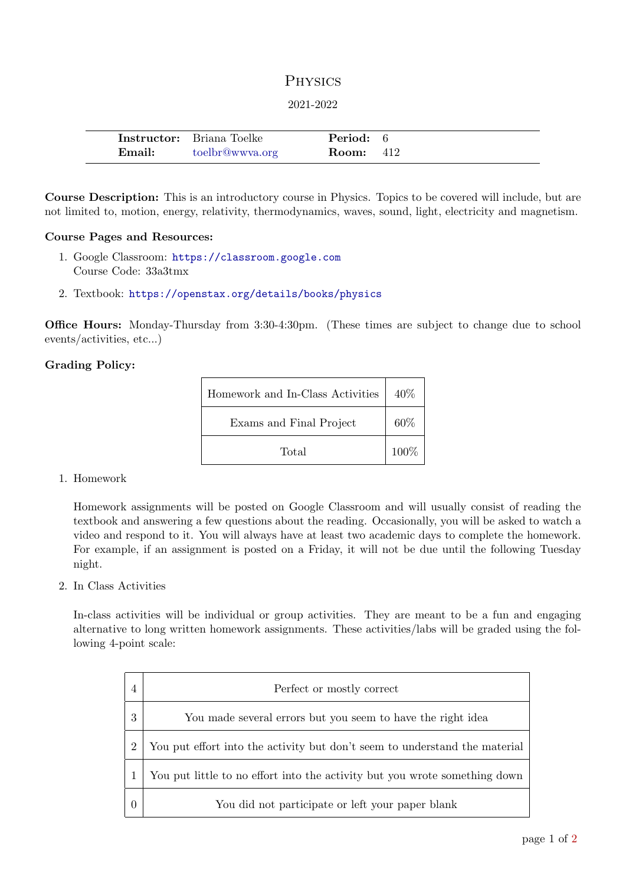# **PHYSICS**

### 2021-2022

|        | <b>Instructor:</b> Briana Toelke | <b>Period:</b> 6 |  |
|--------|----------------------------------|------------------|--|
| Email: | toelbr@wwya.org                  | <b>Room:</b> 412 |  |

Course Description: This is an introductory course in Physics. Topics to be covered will include, but are not limited to, motion, energy, relativity, thermodynamics, waves, sound, light, electricity and magnetism.

### Course Pages and Resources:

- 1. Google Classroom: <https://classroom.google.com> Course Code: 33a3tmx
- 2. Textbook: <https://openstax.org/details/books/physics>

Office Hours: Monday-Thursday from 3:30-4:30pm. (These times are subject to change due to school events/activities, etc...)

## Grading Policy:

| Homework and In-Class Activities | 40\%    |
|----------------------------------|---------|
| Exams and Final Project          | 60%     |
| Total                            | $100\%$ |

#### 1. Homework

Homework assignments will be posted on Google Classroom and will usually consist of reading the textbook and answering a few questions about the reading. Occasionally, you will be asked to watch a video and respond to it. You will always have at least two academic days to complete the homework. For example, if an assignment is posted on a Friday, it will not be due until the following Tuesday night.

2. In Class Activities

In-class activities will be individual or group activities. They are meant to be a fun and engaging alternative to long written homework assignments. These activities/labs will be graded using the following 4-point scale:

|                | Perfect or mostly correct                                                  |
|----------------|----------------------------------------------------------------------------|
| 3              | You made several errors but you seem to have the right idea                |
| $\overline{2}$ | You put effort into the activity but don't seem to understand the material |
|                | You put little to no effort into the activity but you wrote something down |
|                | You did not participate or left your paper blank                           |